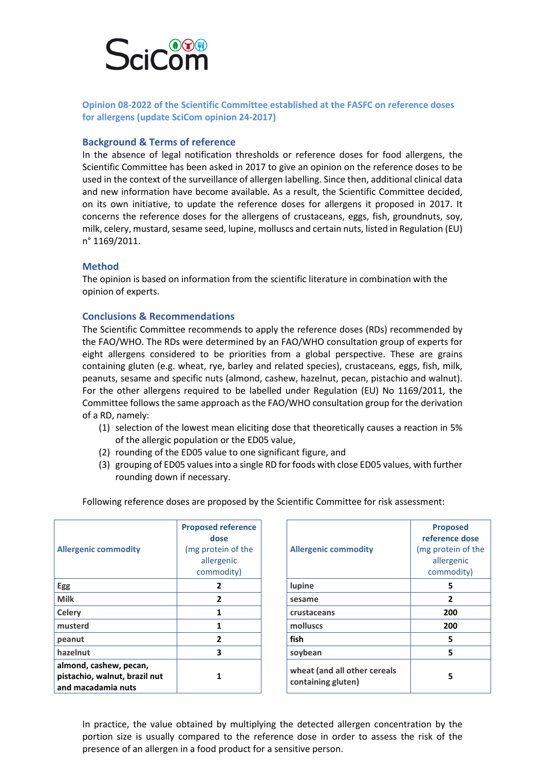

**Opinion 08-2022 of the Scientific Committee established at the FASFC on reference doses for allergens (update SciCom opinion 24-2017)**

## **Background & Terms of reference**

In the absence of legal notification thresholds or reference doses for food allergens, the Scientific Committee has been asked in 2017 to give an opinion on the reference doses to be used in the context of the surveillance of allergen labelling. Since then, additional clinical data and new information have become available. As a result, the Scientific Committee decided, on its own initiative, to update the reference doses for allergens it proposed in 2017. It concerns the reference doses for the allergens of crustaceans, eggs, fish, groundnuts, soy, milk, celery, mustard, sesame seed, lupine, molluscs and certain nuts, listed in Regulation (EU) n° 1169/2011.

## **Method**

The opinion is based on information from the scientific literature in combination with the opinion of experts.

## **Conclusions & Recommendations**

The Scientific Committee recommends to apply the reference doses (RDs) recommended by the FAO/WHO. The RDs were determined by an FAO/WHO consultation group of experts for eight allergens considered to be priorities from a global perspective. These are grains containing gluten (e.g. wheat, rye, barley and related species), crustaceans, eggs, fish, milk, peanuts, sesame and specific nuts (almond, cashew, hazelnut, pecan, pistachio and walnut). For the other allergens required to be labelled under Regulation (EU) No 1169/2011, the Committee follows the same approach as the FAO/WHO consultation group for the derivation of a RD, namely:

- (1) selection of the lowest mean eliciting dose that theoretically causes a reaction in 5% of the allergic population or the ED05 value,
- (2) rounding of the ED05 value to one significant figure, and
- (3) grouping of ED05 values into a single RD for foods with close ED05 values, with further rounding down if necessary.

| <b>Allergenic commodity</b>                                                   | <b>Proposed reference</b><br>dose<br>(mg protein of the<br>allergenic<br>commodity) | <b>Allergenic commodity</b>                        | Propo:<br>reference<br>(mg proteiı<br>allerge<br>commo |
|-------------------------------------------------------------------------------|-------------------------------------------------------------------------------------|----------------------------------------------------|--------------------------------------------------------|
| Egg                                                                           | $\overline{2}$                                                                      | lupine                                             | 5                                                      |
| <b>Milk</b>                                                                   | $\overline{2}$                                                                      | sesame                                             | $\overline{2}$                                         |
| Celery                                                                        | 1                                                                                   | crustaceans                                        | 200                                                    |
| musterd                                                                       | 1                                                                                   | molluscs                                           | 200                                                    |
| peanut                                                                        | 2                                                                                   | fish                                               | 5                                                      |
| hazelnut                                                                      | 3                                                                                   | soybean                                            | 5                                                      |
| almond, cashew, pecan,<br>pistachio, walnut, brazil nut<br>and macadamia nuts | 1                                                                                   | wheat (and all other cereals<br>containing gluten) | 5.                                                     |

Following reference doses are proposed by the Scientific Committee for risk assessment:

| reference<br>ose<br>ein of the:<br>genic<br>nodity) | <b>Allergenic commodity</b>                        | <b>Proposed</b><br>reference dose<br>(mg protein of the<br>allergenic<br>commodity) |
|-----------------------------------------------------|----------------------------------------------------|-------------------------------------------------------------------------------------|
| 2                                                   | lupine                                             | 5                                                                                   |
| 2                                                   | sesame                                             | 2                                                                                   |
| $\mathbf{1}$                                        | crustaceans                                        | 200                                                                                 |
| 1                                                   | molluscs                                           | 200                                                                                 |
| 2                                                   | fish                                               | 5                                                                                   |
| 3                                                   | soybean                                            | 5                                                                                   |
| 1                                                   | wheat (and all other cereals<br>containing gluten) | 5                                                                                   |

In practice, the value obtained by multiplying the detected allergen concentration by the portion size is usually compared to the reference dose in order to assess the risk of the presence of an allergen in a food product for a sensitive person.